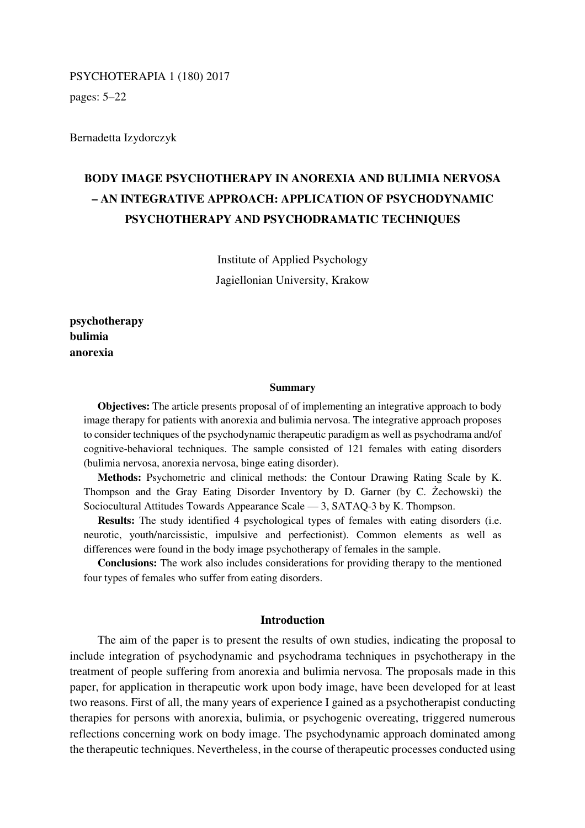# PSYCHOTERAPIA 1 (180) 2017

pages: 5–22

Bernadetta Izydorczyk

# **BODY IMAGE PSYCHOTHERAPY IN ANOREXIA AND BULIMIA NERVOSA – AN INTEGRATIVE APPROACH: APPLICATION OF PSYCHODYNAMIC PSYCHOTHERAPY AND PSYCHODRAMATIC TECHNIQUES**

Institute of Applied Psychology Jagiellonian University, Krakow

**psychotherapy bulimia anorexia** 

#### **Summary**

**Objectives:** The article presents proposal of of implementing an integrative approach to body image therapy for patients with anorexia and bulimia nervosa. The integrative approach proposes to consider techniques of the psychodynamic therapeutic paradigm as well as psychodrama and/of cognitive-behavioral techniques. The sample consisted of 121 females with eating disorders (bulimia nervosa, anorexia nervosa, binge eating disorder).

**Methods:** Psychometric and clinical methods: the Contour Drawing Rating Scale by K. Thompson and the Gray Eating Disorder Inventory by D. Garner (by C. Żechowski) the Sociocultural Attitudes Towards Appearance Scale — 3, SATAQ-3 by K. Thompson.

**Results:** The study identified 4 psychological types of females with eating disorders (i.e. neurotic, youth/narcissistic, impulsive and perfectionist). Common elements as well as differences were found in the body image psychotherapy of females in the sample.

**Conclusions:** The work also includes considerations for providing therapy to the mentioned four types of females who suffer from eating disorders.

## **Introduction**

The aim of the paper is to present the results of own studies, indicating the proposal to include integration of psychodynamic and psychodrama techniques in psychotherapy in the treatment of people suffering from anorexia and bulimia nervosa. The proposals made in this paper, for application in therapeutic work upon body image, have been developed for at least two reasons. First of all, the many years of experience I gained as a psychotherapist conducting therapies for persons with anorexia, bulimia, or psychogenic overeating, triggered numerous reflections concerning work on body image. The psychodynamic approach dominated among the therapeutic techniques. Nevertheless, in the course of therapeutic processes conducted using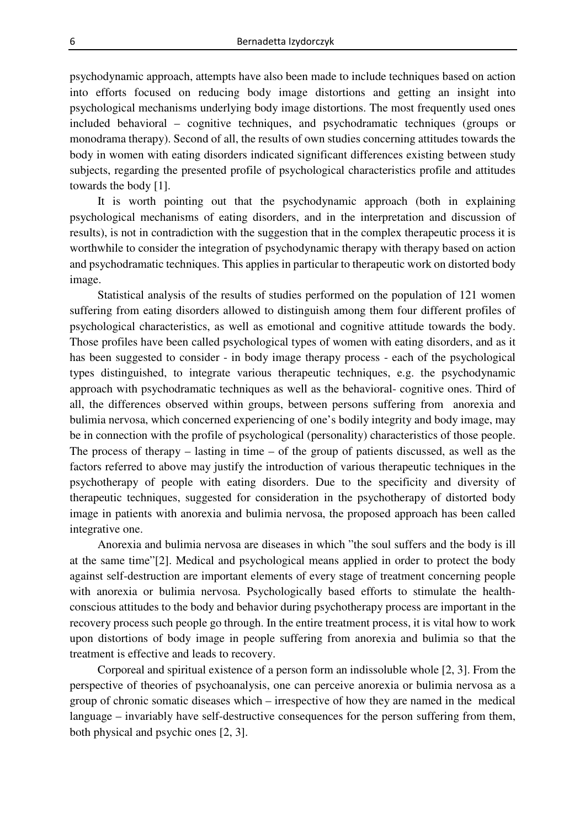psychodynamic approach, attempts have also been made to include techniques based on action into efforts focused on reducing body image distortions and getting an insight into psychological mechanisms underlying body image distortions. The most frequently used ones included behavioral – cognitive techniques, and psychodramatic techniques (groups or monodrama therapy). Second of all, the results of own studies concerning attitudes towards the body in women with eating disorders indicated significant differences existing between study subjects, regarding the presented profile of psychological characteristics profile and attitudes towards the body [1].

It is worth pointing out that the psychodynamic approach (both in explaining psychological mechanisms of eating disorders, and in the interpretation and discussion of results), is not in contradiction with the suggestion that in the complex therapeutic process it is worthwhile to consider the integration of psychodynamic therapy with therapy based on action and psychodramatic techniques. This applies in particular to therapeutic work on distorted body image.

Statistical analysis of the results of studies performed on the population of 121 women suffering from eating disorders allowed to distinguish among them four different profiles of psychological characteristics, as well as emotional and cognitive attitude towards the body. Those profiles have been called psychological types of women with eating disorders, and as it has been suggested to consider - in body image therapy process - each of the psychological types distinguished, to integrate various therapeutic techniques, e.g. the psychodynamic approach with psychodramatic techniques as well as the behavioral- cognitive ones. Third of all, the differences observed within groups, between persons suffering from anorexia and bulimia nervosa, which concerned experiencing of one's bodily integrity and body image, may be in connection with the profile of psychological (personality) characteristics of those people. The process of therapy – lasting in time – of the group of patients discussed, as well as the factors referred to above may justify the introduction of various therapeutic techniques in the psychotherapy of people with eating disorders. Due to the specificity and diversity of therapeutic techniques, suggested for consideration in the psychotherapy of distorted body image in patients with anorexia and bulimia nervosa, the proposed approach has been called integrative one.

Anorexia and bulimia nervosa are diseases in which "the soul suffers and the body is ill at the same time"[2]. Medical and psychological means applied in order to protect the body against self-destruction are important elements of every stage of treatment concerning people with anorexia or bulimia nervosa. Psychologically based efforts to stimulate the healthconscious attitudes to the body and behavior during psychotherapy process are important in the recovery process such people go through. In the entire treatment process, it is vital how to work upon distortions of body image in people suffering from anorexia and bulimia so that the treatment is effective and leads to recovery.

Corporeal and spiritual existence of a person form an indissoluble whole [2, 3]. From the perspective of theories of psychoanalysis, one can perceive anorexia or bulimia nervosa as a group of chronic somatic diseases which – irrespective of how they are named in the medical language – invariably have self-destructive consequences for the person suffering from them, both physical and psychic ones [2, 3].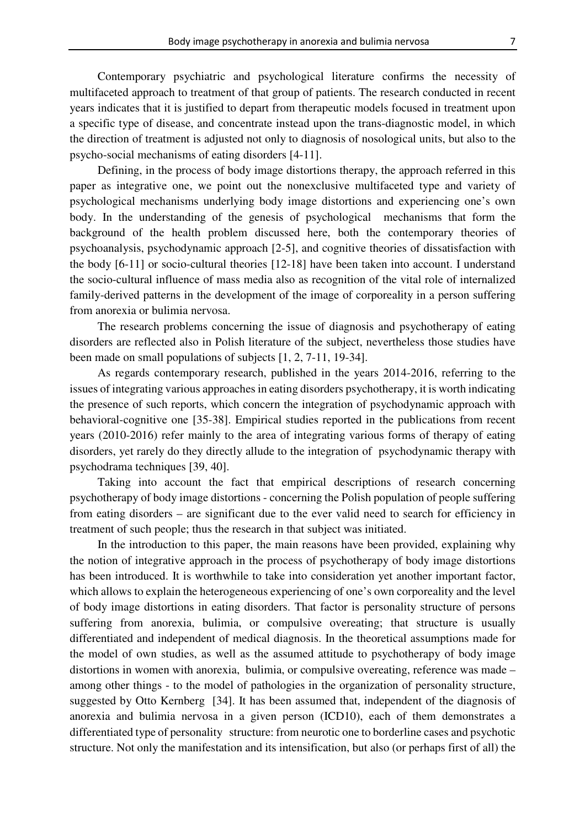Contemporary psychiatric and psychological literature confirms the necessity of multifaceted approach to treatment of that group of patients. The research conducted in recent years indicates that it is justified to depart from therapeutic models focused in treatment upon a specific type of disease, and concentrate instead upon the trans-diagnostic model, in which the direction of treatment is adjusted not only to diagnosis of nosological units, but also to the psycho-social mechanisms of eating disorders [4-11].

Defining, in the process of body image distortions therapy, the approach referred in this paper as integrative one, we point out the nonexclusive multifaceted type and variety of psychological mechanisms underlying body image distortions and experiencing one's own body. In the understanding of the genesis of psychological mechanisms that form the background of the health problem discussed here, both the contemporary theories of psychoanalysis, psychodynamic approach [2-5], and cognitive theories of dissatisfaction with the body [6-11] or socio-cultural theories [12-18] have been taken into account. I understand the socio-cultural influence of mass media also as recognition of the vital role of internalized family-derived patterns in the development of the image of corporeality in a person suffering from anorexia or bulimia nervosa.

The research problems concerning the issue of diagnosis and psychotherapy of eating disorders are reflected also in Polish literature of the subject, nevertheless those studies have been made on small populations of subjects [1, 2, 7-11, 19-34].

As regards contemporary research, published in the years 2014-2016, referring to the issues of integrating various approaches in eating disorders psychotherapy, it is worth indicating the presence of such reports, which concern the integration of psychodynamic approach with behavioral-cognitive one [35-38]. Empirical studies reported in the publications from recent years (2010-2016) refer mainly to the area of integrating various forms of therapy of eating disorders, yet rarely do they directly allude to the integration of psychodynamic therapy with psychodrama techniques [39, 40].

Taking into account the fact that empirical descriptions of research concerning psychotherapy of body image distortions - concerning the Polish population of people suffering from eating disorders – are significant due to the ever valid need to search for efficiency in treatment of such people; thus the research in that subject was initiated.

In the introduction to this paper, the main reasons have been provided, explaining why the notion of integrative approach in the process of psychotherapy of body image distortions has been introduced. It is worthwhile to take into consideration yet another important factor, which allows to explain the heterogeneous experiencing of one's own corporeality and the level of body image distortions in eating disorders. That factor is personality structure of persons suffering from anorexia, bulimia, or compulsive overeating; that structure is usually differentiated and independent of medical diagnosis. In the theoretical assumptions made for the model of own studies, as well as the assumed attitude to psychotherapy of body image distortions in women with anorexia, bulimia, or compulsive overeating, reference was made – among other things - to the model of pathologies in the organization of personality structure, suggested by Otto Kernberg [34]. It has been assumed that, independent of the diagnosis of anorexia and bulimia nervosa in a given person (ICD10), each of them demonstrates a differentiated type of personality structure: from neurotic one to borderline cases and psychotic structure. Not only the manifestation and its intensification, but also (or perhaps first of all) the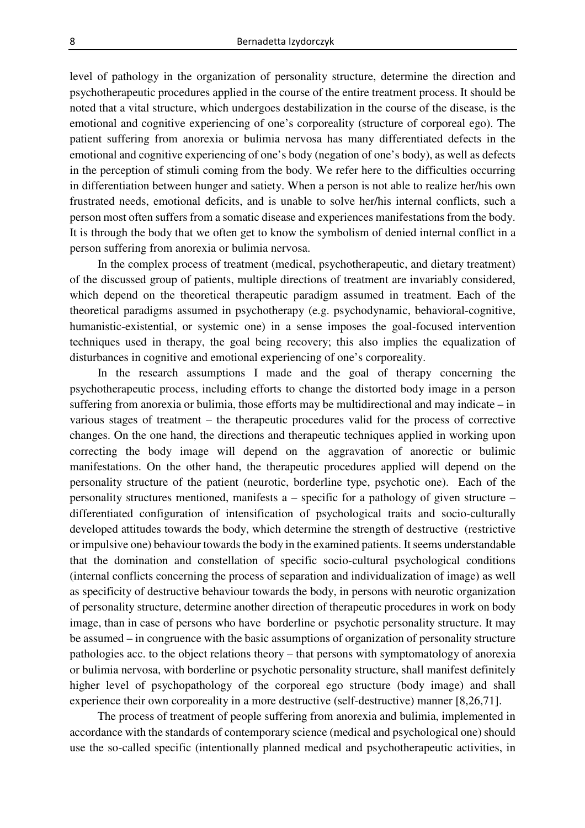level of pathology in the organization of personality structure, determine the direction and psychotherapeutic procedures applied in the course of the entire treatment process. It should be noted that a vital structure, which undergoes destabilization in the course of the disease, is the emotional and cognitive experiencing of one's corporeality (structure of corporeal ego). The patient suffering from anorexia or bulimia nervosa has many differentiated defects in the emotional and cognitive experiencing of one's body (negation of one's body), as well as defects in the perception of stimuli coming from the body. We refer here to the difficulties occurring in differentiation between hunger and satiety. When a person is not able to realize her/his own frustrated needs, emotional deficits, and is unable to solve her/his internal conflicts, such a person most often suffers from a somatic disease and experiences manifestations from the body. It is through the body that we often get to know the symbolism of denied internal conflict in a person suffering from anorexia or bulimia nervosa.

In the complex process of treatment (medical, psychotherapeutic, and dietary treatment) of the discussed group of patients, multiple directions of treatment are invariably considered, which depend on the theoretical therapeutic paradigm assumed in treatment. Each of the theoretical paradigms assumed in psychotherapy (e.g. psychodynamic, behavioral-cognitive, humanistic-existential, or systemic one) in a sense imposes the goal-focused intervention techniques used in therapy, the goal being recovery; this also implies the equalization of disturbances in cognitive and emotional experiencing of one's corporeality.

In the research assumptions I made and the goal of therapy concerning the psychotherapeutic process, including efforts to change the distorted body image in a person suffering from anorexia or bulimia, those efforts may be multidirectional and may indicate – in various stages of treatment – the therapeutic procedures valid for the process of corrective changes. On the one hand, the directions and therapeutic techniques applied in working upon correcting the body image will depend on the aggravation of anorectic or bulimic manifestations. On the other hand, the therapeutic procedures applied will depend on the personality structure of the patient (neurotic, borderline type, psychotic one). Each of the personality structures mentioned, manifests a – specific for a pathology of given structure – differentiated configuration of intensification of psychological traits and socio-culturally developed attitudes towards the body, which determine the strength of destructive (restrictive or impulsive one) behaviour towards the body in the examined patients. It seems understandable that the domination and constellation of specific socio-cultural psychological conditions (internal conflicts concerning the process of separation and individualization of image) as well as specificity of destructive behaviour towards the body, in persons with neurotic organization of personality structure, determine another direction of therapeutic procedures in work on body image, than in case of persons who have borderline or psychotic personality structure. It may be assumed – in congruence with the basic assumptions of organization of personality structure pathologies acc. to the object relations theory – that persons with symptomatology of anorexia or bulimia nervosa, with borderline or psychotic personality structure, shall manifest definitely higher level of psychopathology of the corporeal ego structure (body image) and shall experience their own corporeality in a more destructive (self-destructive) manner [8,26,71].

The process of treatment of people suffering from anorexia and bulimia, implemented in accordance with the standards of contemporary science (medical and psychological one) should use the so-called specific (intentionally planned medical and psychotherapeutic activities, in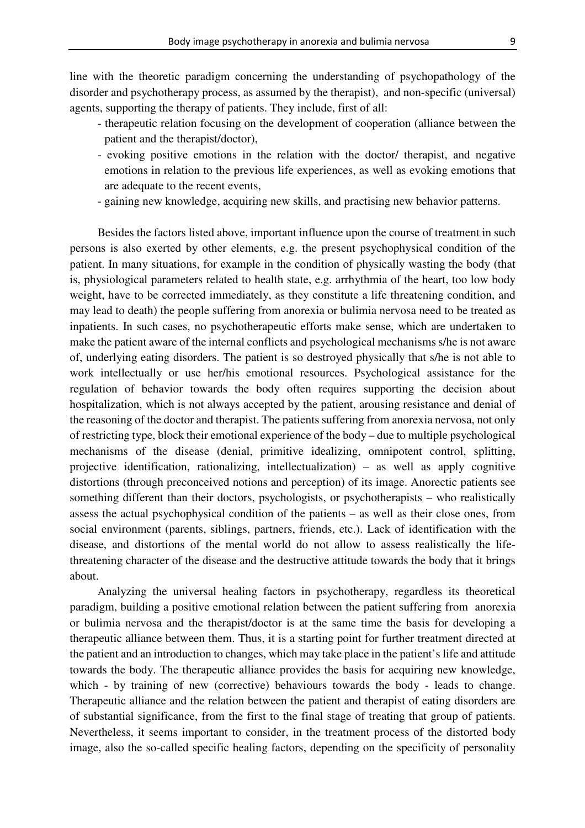line with the theoretic paradigm concerning the understanding of psychopathology of the disorder and psychotherapy process, as assumed by the therapist), and non-specific (universal) agents, supporting the therapy of patients. They include, first of all:

- therapeutic relation focusing on the development of cooperation (alliance between the patient and the therapist/doctor),
- evoking positive emotions in the relation with the doctor/ therapist, and negative emotions in relation to the previous life experiences, as well as evoking emotions that are adequate to the recent events,
- gaining new knowledge, acquiring new skills, and practising new behavior patterns.

Besides the factors listed above, important influence upon the course of treatment in such persons is also exerted by other elements, e.g. the present psychophysical condition of the patient. In many situations, for example in the condition of physically wasting the body (that is, physiological parameters related to health state, e.g. arrhythmia of the heart, too low body weight, have to be corrected immediately, as they constitute a life threatening condition, and may lead to death) the people suffering from anorexia or bulimia nervosa need to be treated as inpatients. In such cases, no psychotherapeutic efforts make sense, which are undertaken to make the patient aware of the internal conflicts and psychological mechanisms s/he is not aware of, underlying eating disorders. The patient is so destroyed physically that s/he is not able to work intellectually or use her/his emotional resources. Psychological assistance for the regulation of behavior towards the body often requires supporting the decision about hospitalization, which is not always accepted by the patient, arousing resistance and denial of the reasoning of the doctor and therapist. The patients suffering from anorexia nervosa, not only of restricting type, block their emotional experience of the body – due to multiple psychological mechanisms of the disease (denial, primitive idealizing, omnipotent control, splitting, projective identification, rationalizing, intellectualization) – as well as apply cognitive distortions (through preconceived notions and perception) of its image. Anorectic patients see something different than their doctors, psychologists, or psychotherapists – who realistically assess the actual psychophysical condition of the patients – as well as their close ones, from social environment (parents, siblings, partners, friends, etc.). Lack of identification with the disease, and distortions of the mental world do not allow to assess realistically the lifethreatening character of the disease and the destructive attitude towards the body that it brings about.

Analyzing the universal healing factors in psychotherapy, regardless its theoretical paradigm, building a positive emotional relation between the patient suffering from anorexia or bulimia nervosa and the therapist/doctor is at the same time the basis for developing a therapeutic alliance between them. Thus, it is a starting point for further treatment directed at the patient and an introduction to changes, which may take place in the patient's life and attitude towards the body. The therapeutic alliance provides the basis for acquiring new knowledge, which - by training of new (corrective) behaviours towards the body - leads to change. Therapeutic alliance and the relation between the patient and therapist of eating disorders are of substantial significance, from the first to the final stage of treating that group of patients. Nevertheless, it seems important to consider, in the treatment process of the distorted body image, also the so-called specific healing factors, depending on the specificity of personality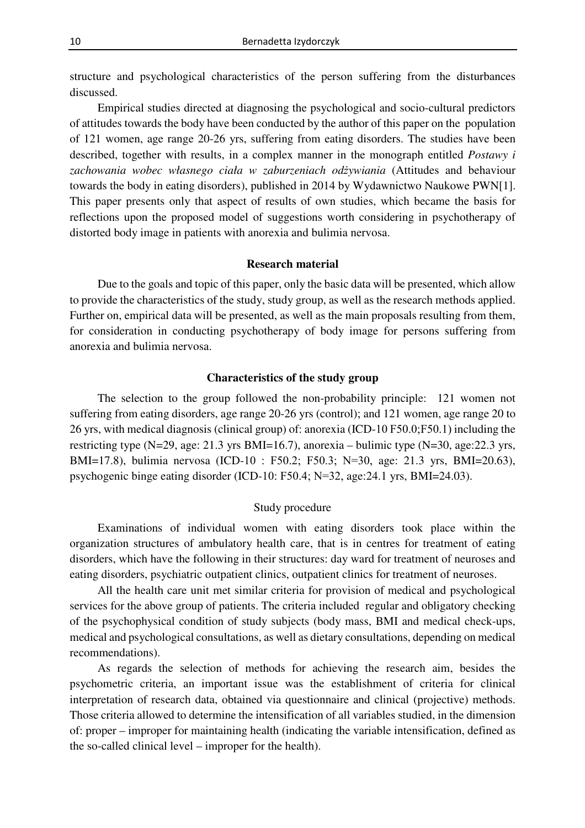structure and psychological characteristics of the person suffering from the disturbances discussed.

Empirical studies directed at diagnosing the psychological and socio-cultural predictors of attitudes towards the body have been conducted by the author of this paper on the population of 121 women, age range 20-26 yrs, suffering from eating disorders. The studies have been described, together with results, in a complex manner in the monograph entitled *Postawy i zachowania wobec własnego ciała w zaburzeniach odżywiania* (Attitudes and behaviour towards the body in eating disorders), published in 2014 by Wydawnictwo Naukowe PWN[1]. This paper presents only that aspect of results of own studies, which became the basis for reflections upon the proposed model of suggestions worth considering in psychotherapy of distorted body image in patients with anorexia and bulimia nervosa.

#### **Research material**

Due to the goals and topic of this paper, only the basic data will be presented, which allow to provide the characteristics of the study, study group, as well as the research methods applied. Further on, empirical data will be presented, as well as the main proposals resulting from them, for consideration in conducting psychotherapy of body image for persons suffering from anorexia and bulimia nervosa.

#### **Characteristics of the study group**

The selection to the group followed the non-probability principle: 121 women not suffering from eating disorders, age range 20-26 yrs (control); and 121 women, age range 20 to 26 yrs, with medical diagnosis (clinical group) of: anorexia (ICD-10 F50.0;F50.1) including the restricting type (N=29, age: 21.3 yrs BMI=16.7), anorexia – bulimic type (N=30, age:22.3 yrs, BMI=17.8), bulimia nervosa (ICD-10 : F50.2; F50.3; N=30, age: 21.3 yrs, BMI=20.63), psychogenic binge eating disorder (ICD-10: F50.4; N=32, age:24.1 yrs, BMI=24.03).

#### Study procedure

Examinations of individual women with eating disorders took place within the organization structures of ambulatory health care, that is in centres for treatment of eating disorders, which have the following in their structures: day ward for treatment of neuroses and eating disorders, psychiatric outpatient clinics, outpatient clinics for treatment of neuroses.

All the health care unit met similar criteria for provision of medical and psychological services for the above group of patients. The criteria included regular and obligatory checking of the psychophysical condition of study subjects (body mass, BMI and medical check-ups, medical and psychological consultations, as well as dietary consultations, depending on medical recommendations).

As regards the selection of methods for achieving the research aim, besides the psychometric criteria, an important issue was the establishment of criteria for clinical interpretation of research data, obtained via questionnaire and clinical (projective) methods. Those criteria allowed to determine the intensification of all variables studied, in the dimension of: proper – improper for maintaining health (indicating the variable intensification, defined as the so-called clinical level – improper for the health).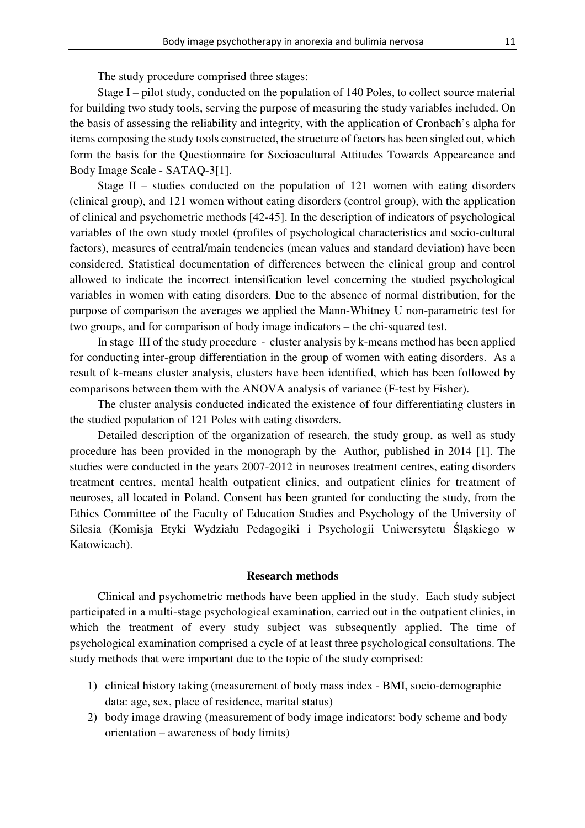The study procedure comprised three stages:

Stage I – pilot study, conducted on the population of 140 Poles, to collect source material for building two study tools, serving the purpose of measuring the study variables included. On the basis of assessing the reliability and integrity, with the application of Cronbach's alpha for items composing the study tools constructed, the structure of factors has been singled out, which form the basis for the Questionnaire for Socioacultural Attitudes Towards Appeareance and Body Image Scale - SATAQ-3[1].

Stage II – studies conducted on the population of 121 women with eating disorders (clinical group), and 121 women without eating disorders (control group), with the application of clinical and psychometric methods [42-45]. In the description of indicators of psychological variables of the own study model (profiles of psychological characteristics and socio-cultural factors), measures of central/main tendencies (mean values and standard deviation) have been considered. Statistical documentation of differences between the clinical group and control allowed to indicate the incorrect intensification level concerning the studied psychological variables in women with eating disorders. Due to the absence of normal distribution, for the purpose of comparison the averages we applied the Mann-Whitney U non-parametric test for two groups, and for comparison of body image indicators – the chi-squared test.

In stage III of the study procedure - cluster analysis by k-means method has been applied for conducting inter-group differentiation in the group of women with eating disorders. As a result of k-means cluster analysis, clusters have been identified, which has been followed by comparisons between them with the ANOVA analysis of variance (F-test by Fisher).

The cluster analysis conducted indicated the existence of four differentiating clusters in the studied population of 121 Poles with eating disorders.

Detailed description of the organization of research, the study group, as well as study procedure has been provided in the monograph by the Author, published in 2014 [1]. The studies were conducted in the years 2007-2012 in neuroses treatment centres, eating disorders treatment centres, mental health outpatient clinics, and outpatient clinics for treatment of neuroses, all located in Poland. Consent has been granted for conducting the study, from the Ethics Committee of the Faculty of Education Studies and Psychology of the University of Silesia (Komisja Etyki Wydziału Pedagogiki i Psychologii Uniwersytetu Śląskiego w Katowicach).

#### **Research methods**

Clinical and psychometric methods have been applied in the study. Each study subject participated in a multi-stage psychological examination, carried out in the outpatient clinics, in which the treatment of every study subject was subsequently applied. The time of psychological examination comprised a cycle of at least three psychological consultations. The study methods that were important due to the topic of the study comprised:

- 1) clinical history taking (measurement of body mass index BMI, socio-demographic data: age, sex, place of residence, marital status)
- 2) body image drawing (measurement of body image indicators: body scheme and body orientation – awareness of body limits)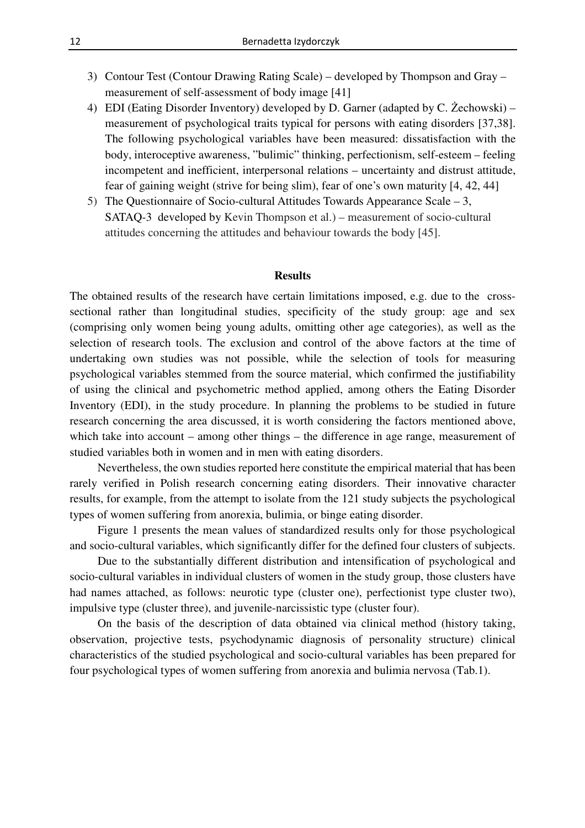- 3) Contour Test (Contour Drawing Rating Scale) developed by Thompson and Gray measurement of self-assessment of body image [41]
- 4) EDI (Eating Disorder Inventory) developed by D. Garner (adapted by C. Żechowski) measurement of psychological traits typical for persons with eating disorders [37,38]. The following psychological variables have been measured: dissatisfaction with the body, interoceptive awareness, "bulimic" thinking, perfectionism, self-esteem – feeling incompetent and inefficient, interpersonal relations – uncertainty and distrust attitude, fear of gaining weight (strive for being slim), fear of one's own maturity [4, 42, 44]
- 5) The Questionnaire of Socio-cultural Attitudes Towards Appearance Scale 3, SATAQ-3 developed by Kevin Thompson et al.) – measurement of socio-cultural attitudes concerning the attitudes and behaviour towards the body [45].

#### **Results**

The obtained results of the research have certain limitations imposed, e.g. due to the crosssectional rather than longitudinal studies, specificity of the study group: age and sex (comprising only women being young adults, omitting other age categories), as well as the selection of research tools. The exclusion and control of the above factors at the time of undertaking own studies was not possible, while the selection of tools for measuring psychological variables stemmed from the source material, which confirmed the justifiability of using the clinical and psychometric method applied, among others the Eating Disorder Inventory (EDI), in the study procedure. In planning the problems to be studied in future research concerning the area discussed, it is worth considering the factors mentioned above, which take into account – among other things – the difference in age range, measurement of studied variables both in women and in men with eating disorders.

Nevertheless, the own studies reported here constitute the empirical material that has been rarely verified in Polish research concerning eating disorders. Their innovative character results, for example, from the attempt to isolate from the 121 study subjects the psychological types of women suffering from anorexia, bulimia, or binge eating disorder.

Figure 1 presents the mean values of standardized results only for those psychological and socio-cultural variables, which significantly differ for the defined four clusters of subjects.

Due to the substantially different distribution and intensification of psychological and socio-cultural variables in individual clusters of women in the study group, those clusters have had names attached, as follows: neurotic type (cluster one), perfectionist type cluster two), impulsive type (cluster three), and juvenile-narcissistic type (cluster four).

On the basis of the description of data obtained via clinical method (history taking, observation, projective tests, psychodynamic diagnosis of personality structure) clinical characteristics of the studied psychological and socio-cultural variables has been prepared for four psychological types of women suffering from anorexia and bulimia nervosa (Tab.1).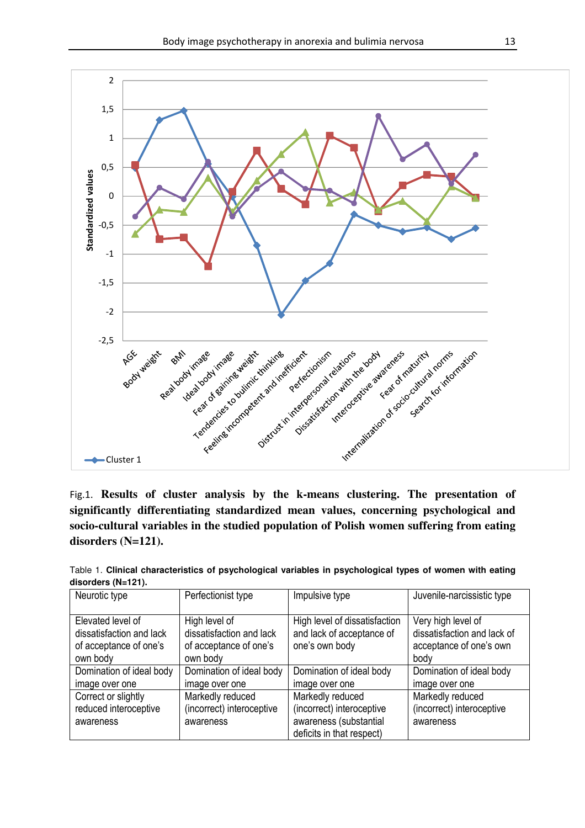

Fig.1. **Results of cluster analysis by the k-means clustering. The presentation of significantly differentiating standardized mean values, concerning psychological and socio-cultural variables in the studied population of Polish women suffering from eating disorders (N=121).**

| Neurotic type                                                                       | Perfectionist type                                                              | Impulsive type                                                                                       | Juvenile-narcissistic type                                                           |
|-------------------------------------------------------------------------------------|---------------------------------------------------------------------------------|------------------------------------------------------------------------------------------------------|--------------------------------------------------------------------------------------|
| Elevated level of<br>dissatisfaction and lack<br>of acceptance of one's<br>own body | High level of<br>dissatisfaction and lack<br>of acceptance of one's<br>own body | High level of dissatisfaction<br>and lack of acceptance of<br>one's own body                         | Very high level of<br>dissatisfaction and lack of<br>acceptance of one's own<br>body |
| Domination of ideal body<br>image over one                                          | Domination of ideal body<br>image over one                                      | Domination of ideal body<br>image over one                                                           | Domination of ideal body<br>image over one                                           |
| Correct or slightly<br>reduced interoceptive<br>awareness                           | Markedly reduced<br>(incorrect) interoceptive<br>awareness                      | Markedly reduced<br>(incorrect) interoceptive<br>awareness (substantial<br>deficits in that respect) | Markedly reduced<br>(incorrect) interoceptive<br>awareness                           |

Table 1. **Clinical characteristics of psychological variables in psychological types of women with eating disorders (N=121).**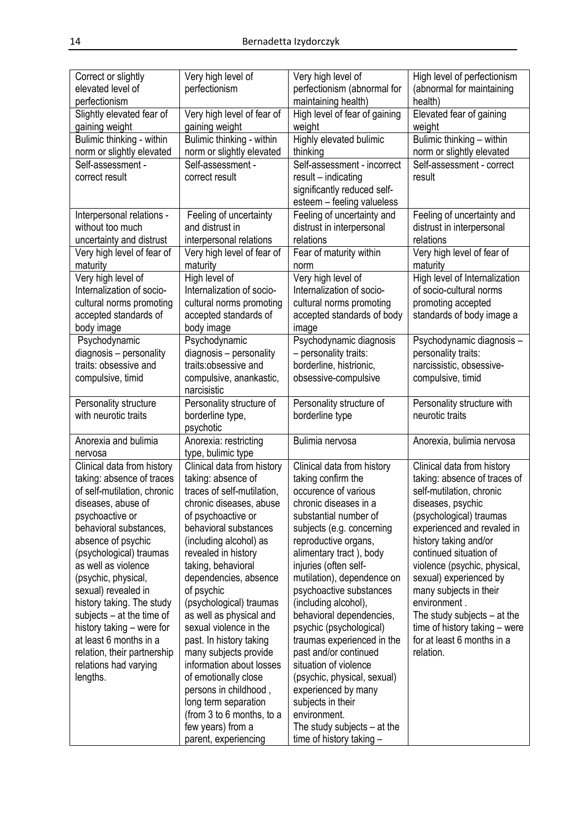| Correct or slightly<br>elevated level of<br>perfectionism | Very high level of<br>perfectionism                    | Very high level of<br>perfectionism (abnormal for<br>maintaining health) | High level of perfectionism<br>(abnormal for maintaining<br>health) |
|-----------------------------------------------------------|--------------------------------------------------------|--------------------------------------------------------------------------|---------------------------------------------------------------------|
| Slightly elevated fear of<br>gaining weight               | Very high level of fear of<br>gaining weight           | High level of fear of gaining<br>weight                                  | Elevated fear of gaining<br>weight                                  |
| Bulimic thinking - within<br>norm or slightly elevated    | Bulimic thinking - within<br>norm or slightly elevated | Highly elevated bulimic<br>thinking                                      | Bulimic thinking - within<br>norm or slightly elevated              |
| Self-assessment -<br>correct result                       | Self-assessment -<br>correct result                    | Self-assessment - incorrect<br>result - indicating                       | Self-assessment - correct<br>result                                 |
|                                                           |                                                        | significantly reduced self-<br>esteem - feeling valueless                |                                                                     |
| Interpersonal relations -<br>without too much             | Feeling of uncertainty<br>and distrust in              | Feeling of uncertainty and<br>distrust in interpersonal                  | Feeling of uncertainty and<br>distrust in interpersonal             |
| uncertainty and distrust                                  | interpersonal relations                                | relations                                                                | relations                                                           |
| Very high level of fear of<br>maturity                    | Very high level of fear of<br>maturity                 | Fear of maturity within<br>norm                                          | Very high level of fear of<br>maturity                              |
| Very high level of                                        | High level of                                          | Very high level of                                                       | High level of Internalization                                       |
| Internalization of socio-<br>cultural norms promoting     | Internalization of socio-<br>cultural norms promoting  | Internalization of socio-                                                | of socio-cultural norms<br>promoting accepted                       |
| accepted standards of<br>body image                       | accepted standards of<br>body image                    | cultural norms promoting<br>accepted standards of body<br>image          | standards of body image a                                           |
| Psychodynamic                                             | Psychodynamic                                          | Psychodynamic diagnosis                                                  | Psychodynamic diagnosis -                                           |
| diagnosis - personality                                   | diagnosis - personality                                | - personality traits:                                                    | personality traits:                                                 |
| traits: obsessive and                                     | traits:obsessive and                                   | borderline, histrionic,                                                  | narcissistic, obsessive-                                            |
| compulsive, timid                                         | compulsive, anankastic,<br>narcisistic                 | obsessive-compulsive                                                     | compulsive, timid                                                   |
| Personality structure                                     | Personality structure of                               | Personality structure of                                                 | Personality structure with                                          |
| with neurotic traits                                      | borderline type,<br>psychotic                          | borderline type                                                          | neurotic traits                                                     |
| Anorexia and bulimia<br>nervosa                           | Anorexia: restricting<br>type, bulimic type            | Bulimia nervosa                                                          | Anorexia, bulimia nervosa                                           |
| Clinical data from history                                | Clinical data from history                             | Clinical data from history                                               | Clinical data from history                                          |
| taking: absence of traces<br>of self-mutilation, chronic  | taking: absence of<br>traces of self-mutilation,       | taking confirm the<br>occurence of various                               | taking: absence of traces of<br>self-mutilation, chronic            |
| diseases, abuse of                                        | chronic diseases, abuse                                | chronic diseases in a                                                    | diseases, psychic                                                   |
| psychoactive or                                           | of psychoactive or                                     | substantial number of                                                    | (psychological) traumas                                             |
| behavioral substances,                                    | behavioral substances                                  | subjects (e.g. concerning                                                | experienced and revaled in                                          |
| absence of psychic                                        | (including alcohol) as                                 | reproductive organs,                                                     | history taking and/or                                               |
| (psychological) traumas<br>as well as violence            | revealed in history<br>taking, behavioral              | alimentary tract), body<br>injuries (often self-                         | continued situation of<br>violence (psychic, physical,              |
| (psychic, physical,                                       | dependencies, absence                                  | mutilation), dependence on                                               | sexual) experienced by                                              |
| sexual) revealed in                                       | of psychic                                             | psychoactive substances                                                  | many subjects in their                                              |
| history taking. The study                                 | (psychological) traumas                                | (including alcohol),                                                     | environment.                                                        |
| subjects - at the time of                                 | as well as physical and                                | behavioral dependencies,                                                 | The study subjects $-$ at the                                       |
| history taking - were for<br>at least 6 months in a       | sexual violence in the                                 | psychic (psychological)                                                  | time of history taking - were<br>for at least 6 months in a         |
| relation, their partnership                               | past. In history taking<br>many subjects provide       | traumas experienced in the<br>past and/or continued                      | relation.                                                           |
| relations had varying                                     | information about losses                               | situation of violence                                                    |                                                                     |
| lengths.                                                  | of emotionally close                                   | (psychic, physical, sexual)                                              |                                                                     |
|                                                           | persons in childhood,                                  | experienced by many                                                      |                                                                     |
|                                                           | long term separation                                   | subjects in their<br>environment.                                        |                                                                     |
|                                                           | (from 3 to 6 months, to a<br>few years) from a         | The study subjects $-$ at the                                            |                                                                     |
|                                                           | parent, experiencing                                   | time of history taking -                                                 |                                                                     |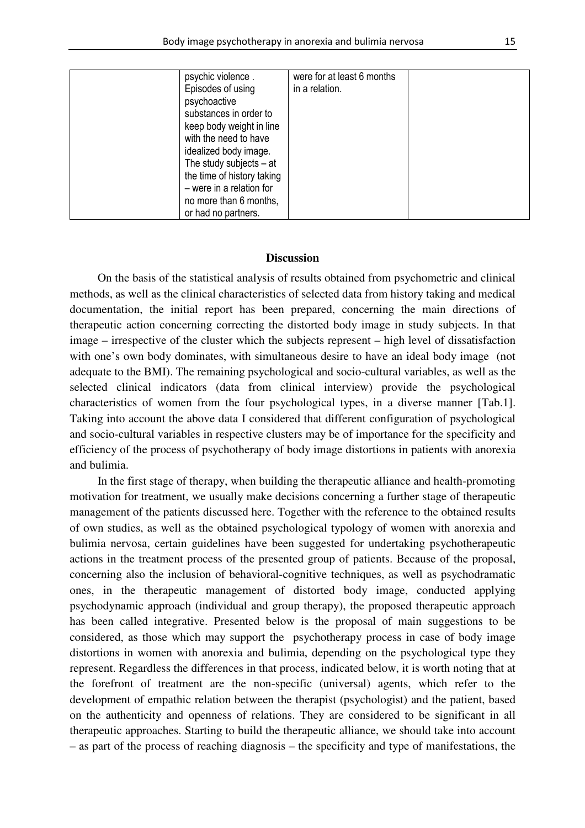| psychic violence.<br>Episodes of using<br>psychoactive<br>substances in order to | were for at least 6 months<br>in a relation. |  |
|----------------------------------------------------------------------------------|----------------------------------------------|--|
| keep body weight in line<br>with the need to have                                |                                              |  |
| idealized body image.<br>The study subjects $-$ at<br>the time of history taking |                                              |  |
| - were in a relation for<br>no more than 6 months,<br>or had no partners.        |                                              |  |

#### **Discussion**

On the basis of the statistical analysis of results obtained from psychometric and clinical methods, as well as the clinical characteristics of selected data from history taking and medical documentation, the initial report has been prepared, concerning the main directions of therapeutic action concerning correcting the distorted body image in study subjects. In that image – irrespective of the cluster which the subjects represent – high level of dissatisfaction with one's own body dominates, with simultaneous desire to have an ideal body image (not adequate to the BMI). The remaining psychological and socio-cultural variables, as well as the selected clinical indicators (data from clinical interview) provide the psychological characteristics of women from the four psychological types, in a diverse manner [Tab.1]. Taking into account the above data I considered that different configuration of psychological and socio-cultural variables in respective clusters may be of importance for the specificity and efficiency of the process of psychotherapy of body image distortions in patients with anorexia and bulimia.

In the first stage of therapy, when building the therapeutic alliance and health-promoting motivation for treatment, we usually make decisions concerning a further stage of therapeutic management of the patients discussed here. Together with the reference to the obtained results of own studies, as well as the obtained psychological typology of women with anorexia and bulimia nervosa, certain guidelines have been suggested for undertaking psychotherapeutic actions in the treatment process of the presented group of patients. Because of the proposal, concerning also the inclusion of behavioral-cognitive techniques, as well as psychodramatic ones, in the therapeutic management of distorted body image, conducted applying psychodynamic approach (individual and group therapy), the proposed therapeutic approach has been called integrative. Presented below is the proposal of main suggestions to be considered, as those which may support the psychotherapy process in case of body image distortions in women with anorexia and bulimia, depending on the psychological type they represent. Regardless the differences in that process, indicated below, it is worth noting that at the forefront of treatment are the non-specific (universal) agents, which refer to the development of empathic relation between the therapist (psychologist) and the patient, based on the authenticity and openness of relations. They are considered to be significant in all therapeutic approaches. Starting to build the therapeutic alliance, we should take into account – as part of the process of reaching diagnosis – the specificity and type of manifestations, the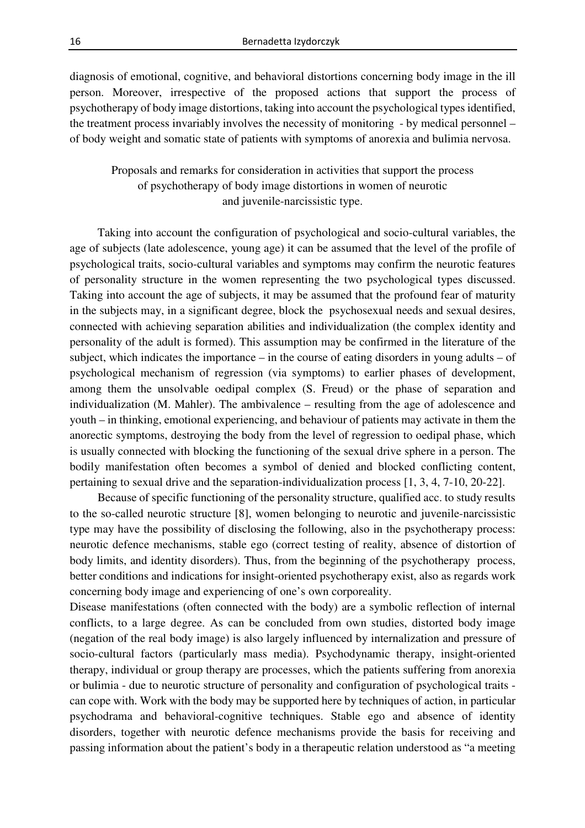diagnosis of emotional, cognitive, and behavioral distortions concerning body image in the ill person. Moreover, irrespective of the proposed actions that support the process of psychotherapy of body image distortions, taking into account the psychological types identified, the treatment process invariably involves the necessity of monitoring - by medical personnel – of body weight and somatic state of patients with symptoms of anorexia and bulimia nervosa.

# Proposals and remarks for consideration in activities that support the process of psychotherapy of body image distortions in women of neurotic and juvenile-narcissistic type.

Taking into account the configuration of psychological and socio-cultural variables, the age of subjects (late adolescence, young age) it can be assumed that the level of the profile of psychological traits, socio-cultural variables and symptoms may confirm the neurotic features of personality structure in the women representing the two psychological types discussed. Taking into account the age of subjects, it may be assumed that the profound fear of maturity in the subjects may, in a significant degree, block the psychosexual needs and sexual desires, connected with achieving separation abilities and individualization (the complex identity and personality of the adult is formed). This assumption may be confirmed in the literature of the subject, which indicates the importance – in the course of eating disorders in young adults – of psychological mechanism of regression (via symptoms) to earlier phases of development, among them the unsolvable oedipal complex (S. Freud) or the phase of separation and individualization (M. Mahler). The ambivalence – resulting from the age of adolescence and youth – in thinking, emotional experiencing, and behaviour of patients may activate in them the anorectic symptoms, destroying the body from the level of regression to oedipal phase, which is usually connected with blocking the functioning of the sexual drive sphere in a person. The bodily manifestation often becomes a symbol of denied and blocked conflicting content, pertaining to sexual drive and the separation-individualization process [1, 3, 4, 7-10, 20-22].

Because of specific functioning of the personality structure, qualified acc. to study results to the so-called neurotic structure [8], women belonging to neurotic and juvenile-narcissistic type may have the possibility of disclosing the following, also in the psychotherapy process: neurotic defence mechanisms, stable ego (correct testing of reality, absence of distortion of body limits, and identity disorders). Thus, from the beginning of the psychotherapy process, better conditions and indications for insight-oriented psychotherapy exist, also as regards work concerning body image and experiencing of one's own corporeality.

Disease manifestations (often connected with the body) are a symbolic reflection of internal conflicts, to a large degree. As can be concluded from own studies, distorted body image (negation of the real body image) is also largely influenced by internalization and pressure of socio-cultural factors (particularly mass media). Psychodynamic therapy, insight-oriented therapy, individual or group therapy are processes, which the patients suffering from anorexia or bulimia - due to neurotic structure of personality and configuration of psychological traits can cope with. Work with the body may be supported here by techniques of action, in particular psychodrama and behavioral-cognitive techniques. Stable ego and absence of identity disorders, together with neurotic defence mechanisms provide the basis for receiving and passing information about the patient's body in a therapeutic relation understood as "a meeting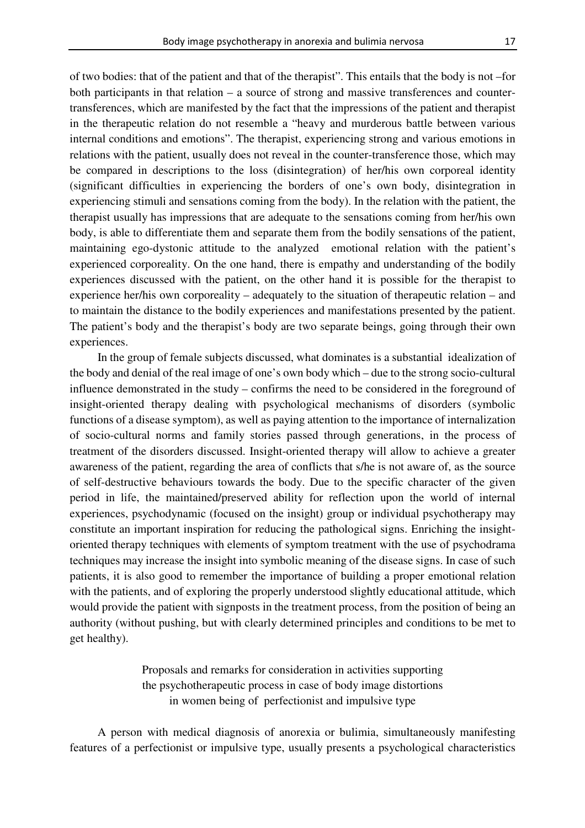of two bodies: that of the patient and that of the therapist". This entails that the body is not –for both participants in that relation – a source of strong and massive transferences and countertransferences, which are manifested by the fact that the impressions of the patient and therapist in the therapeutic relation do not resemble a "heavy and murderous battle between various internal conditions and emotions". The therapist, experiencing strong and various emotions in relations with the patient, usually does not reveal in the counter-transference those, which may be compared in descriptions to the loss (disintegration) of her/his own corporeal identity (significant difficulties in experiencing the borders of one's own body, disintegration in experiencing stimuli and sensations coming from the body). In the relation with the patient, the therapist usually has impressions that are adequate to the sensations coming from her/his own body, is able to differentiate them and separate them from the bodily sensations of the patient, maintaining ego-dystonic attitude to the analyzed emotional relation with the patient's experienced corporeality. On the one hand, there is empathy and understanding of the bodily experiences discussed with the patient, on the other hand it is possible for the therapist to experience her/his own corporeality – adequately to the situation of therapeutic relation – and to maintain the distance to the bodily experiences and manifestations presented by the patient. The patient's body and the therapist's body are two separate beings, going through their own experiences.

In the group of female subjects discussed, what dominates is a substantial idealization of the body and denial of the real image of one's own body which – due to the strong socio-cultural influence demonstrated in the study – confirms the need to be considered in the foreground of insight-oriented therapy dealing with psychological mechanisms of disorders (symbolic functions of a disease symptom), as well as paying attention to the importance of internalization of socio-cultural norms and family stories passed through generations, in the process of treatment of the disorders discussed. Insight-oriented therapy will allow to achieve a greater awareness of the patient, regarding the area of conflicts that s/he is not aware of, as the source of self-destructive behaviours towards the body. Due to the specific character of the given period in life, the maintained/preserved ability for reflection upon the world of internal experiences, psychodynamic (focused on the insight) group or individual psychotherapy may constitute an important inspiration for reducing the pathological signs. Enriching the insightoriented therapy techniques with elements of symptom treatment with the use of psychodrama techniques may increase the insight into symbolic meaning of the disease signs. In case of such patients, it is also good to remember the importance of building a proper emotional relation with the patients, and of exploring the properly understood slightly educational attitude, which would provide the patient with signposts in the treatment process, from the position of being an authority (without pushing, but with clearly determined principles and conditions to be met to get healthy).

> Proposals and remarks for consideration in activities supporting the psychotherapeutic process in case of body image distortions in women being of perfectionist and impulsive type

A person with medical diagnosis of anorexia or bulimia, simultaneously manifesting features of a perfectionist or impulsive type, usually presents a psychological characteristics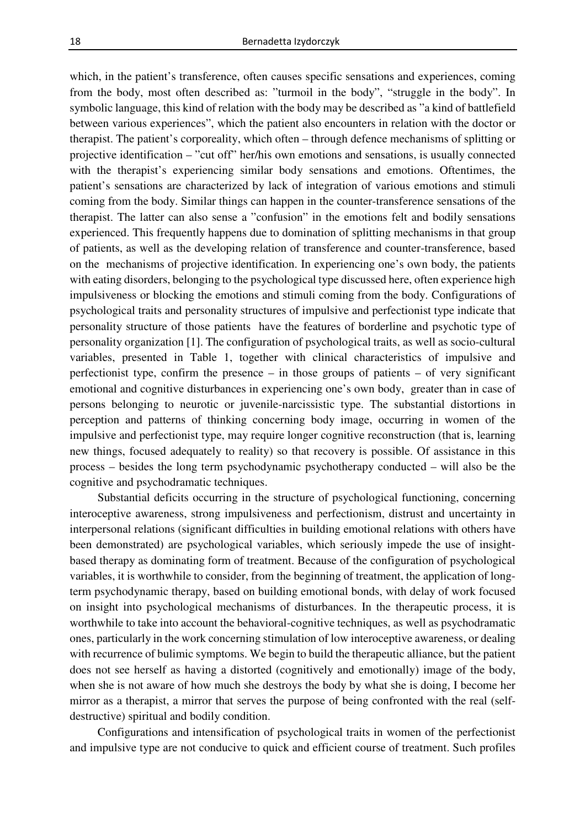which, in the patient's transference, often causes specific sensations and experiences, coming from the body, most often described as: "turmoil in the body", "struggle in the body". In symbolic language, this kind of relation with the body may be described as "a kind of battlefield between various experiences", which the patient also encounters in relation with the doctor or therapist. The patient's corporeality, which often – through defence mechanisms of splitting or projective identification – "cut off" her/his own emotions and sensations, is usually connected with the therapist's experiencing similar body sensations and emotions. Oftentimes, the patient's sensations are characterized by lack of integration of various emotions and stimuli coming from the body. Similar things can happen in the counter-transference sensations of the therapist. The latter can also sense a "confusion" in the emotions felt and bodily sensations experienced. This frequently happens due to domination of splitting mechanisms in that group of patients, as well as the developing relation of transference and counter-transference, based on the mechanisms of projective identification. In experiencing one's own body, the patients with eating disorders, belonging to the psychological type discussed here, often experience high impulsiveness or blocking the emotions and stimuli coming from the body. Configurations of psychological traits and personality structures of impulsive and perfectionist type indicate that personality structure of those patients have the features of borderline and psychotic type of personality organization [1]. The configuration of psychological traits, as well as socio-cultural variables, presented in Table 1, together with clinical characteristics of impulsive and perfectionist type, confirm the presence – in those groups of patients – of very significant emotional and cognitive disturbances in experiencing one's own body, greater than in case of persons belonging to neurotic or juvenile-narcissistic type. The substantial distortions in perception and patterns of thinking concerning body image, occurring in women of the impulsive and perfectionist type, may require longer cognitive reconstruction (that is, learning new things, focused adequately to reality) so that recovery is possible. Of assistance in this process – besides the long term psychodynamic psychotherapy conducted – will also be the cognitive and psychodramatic techniques.

Substantial deficits occurring in the structure of psychological functioning, concerning interoceptive awareness, strong impulsiveness and perfectionism, distrust and uncertainty in interpersonal relations (significant difficulties in building emotional relations with others have been demonstrated) are psychological variables, which seriously impede the use of insightbased therapy as dominating form of treatment. Because of the configuration of psychological variables, it is worthwhile to consider, from the beginning of treatment, the application of longterm psychodynamic therapy, based on building emotional bonds, with delay of work focused on insight into psychological mechanisms of disturbances. In the therapeutic process, it is worthwhile to take into account the behavioral-cognitive techniques, as well as psychodramatic ones, particularly in the work concerning stimulation of low interoceptive awareness, or dealing with recurrence of bulimic symptoms. We begin to build the therapeutic alliance, but the patient does not see herself as having a distorted (cognitively and emotionally) image of the body, when she is not aware of how much she destroys the body by what she is doing, I become her mirror as a therapist, a mirror that serves the purpose of being confronted with the real (selfdestructive) spiritual and bodily condition.

Configurations and intensification of psychological traits in women of the perfectionist and impulsive type are not conducive to quick and efficient course of treatment. Such profiles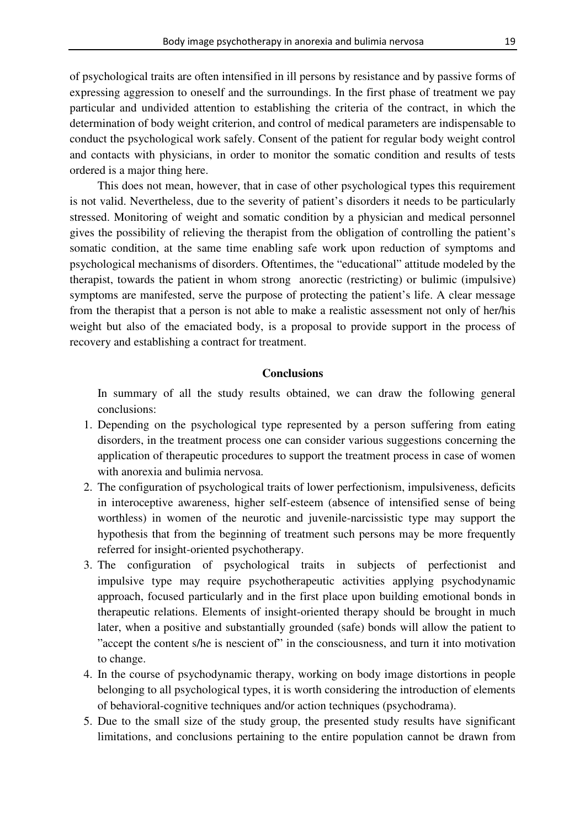of psychological traits are often intensified in ill persons by resistance and by passive forms of expressing aggression to oneself and the surroundings. In the first phase of treatment we pay particular and undivided attention to establishing the criteria of the contract, in which the determination of body weight criterion, and control of medical parameters are indispensable to conduct the psychological work safely. Consent of the patient for regular body weight control and contacts with physicians, in order to monitor the somatic condition and results of tests ordered is a major thing here.

This does not mean, however, that in case of other psychological types this requirement is not valid. Nevertheless, due to the severity of patient's disorders it needs to be particularly stressed. Monitoring of weight and somatic condition by a physician and medical personnel gives the possibility of relieving the therapist from the obligation of controlling the patient's somatic condition, at the same time enabling safe work upon reduction of symptoms and psychological mechanisms of disorders. Oftentimes, the "educational" attitude modeled by the therapist, towards the patient in whom strong anorectic (restricting) or bulimic (impulsive) symptoms are manifested, serve the purpose of protecting the patient's life. A clear message from the therapist that a person is not able to make a realistic assessment not only of her/his weight but also of the emaciated body, is a proposal to provide support in the process of recovery and establishing a contract for treatment.

#### **Conclusions**

In summary of all the study results obtained, we can draw the following general conclusions:

- 1. Depending on the psychological type represented by a person suffering from eating disorders, in the treatment process one can consider various suggestions concerning the application of therapeutic procedures to support the treatment process in case of women with anorexia and bulimia nervosa.
- 2. The configuration of psychological traits of lower perfectionism, impulsiveness, deficits in interoceptive awareness, higher self-esteem (absence of intensified sense of being worthless) in women of the neurotic and juvenile-narcissistic type may support the hypothesis that from the beginning of treatment such persons may be more frequently referred for insight-oriented psychotherapy.
- 3. The configuration of psychological traits in subjects of perfectionist and impulsive type may require psychotherapeutic activities applying psychodynamic approach, focused particularly and in the first place upon building emotional bonds in therapeutic relations. Elements of insight-oriented therapy should be brought in much later, when a positive and substantially grounded (safe) bonds will allow the patient to "accept the content s/he is nescient of" in the consciousness, and turn it into motivation to change.
- 4. In the course of psychodynamic therapy, working on body image distortions in people belonging to all psychological types, it is worth considering the introduction of elements of behavioral-cognitive techniques and/or action techniques (psychodrama).
- 5. Due to the small size of the study group, the presented study results have significant limitations, and conclusions pertaining to the entire population cannot be drawn from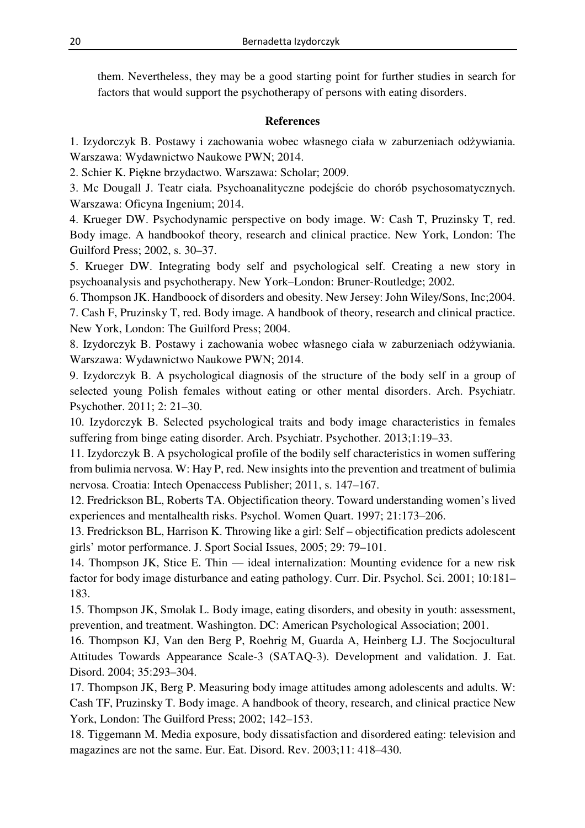them. Nevertheless, they may be a good starting point for further studies in search for factors that would support the psychotherapy of persons with eating disorders.

## **References**

1. Izydorczyk B. Postawy i zachowania wobec własnego ciała w zaburzeniach odżywiania. Warszawa: Wydawnictwo Naukowe PWN; 2014.

2. Schier K. Piękne brzydactwo. Warszawa: Scholar; 2009.

3. Mc Dougall J. Teatr ciała. Psychoanalityczne podejście do chorób psychosomatycznych. Warszawa: Oficyna Ingenium; 2014.

4. Krueger DW. Psychodynamic perspective on body image. W: Cash T, Pruzinsky T, red. Body image. A handbookof theory, research and clinical practice. New York, London: The Guilford Press; 2002, s. 30–37.

5. Krueger DW. Integrating body self and psychological self. Creating a new story in psychoanalysis and psychotherapy. New York–London: Bruner-Routledge; 2002.

6. Thompson JK. Handboock of disorders and obesity. New Jersey: John Wiley/Sons, Inc;2004. 7. Cash F, Pruzinsky T, red. Body image. A handbook of theory, research and clinical practice. New York, London: The Guilford Press; 2004.

8. Izydorczyk B. Postawy i zachowania wobec własnego ciała w zaburzeniach odżywiania. Warszawa: Wydawnictwo Naukowe PWN; 2014.

9. Izydorczyk B. A psychological diagnosis of the structure of the body self in a group of selected young Polish females without eating or other mental disorders. Arch. Psychiatr. Psychother. 2011; 2: 21–30.

10. Izydorczyk B. Selected psychological traits and body image characteristics in females suffering from binge eating disorder. Arch. Psychiatr. Psychother. 2013;1:19–33.

11. Izydorczyk B. A psychological profile of the bodily self characteristics in women suffering from bulimia nervosa. W: Hay P, red. New insights into the prevention and treatment of bulimia nervosa. Croatia: Intech Openaccess Publisher; 2011, s. 147–167.

12. Fredrickson BL, Roberts TA. Objectification theory. Toward understanding women's lived experiences and mentalhealth risks. Psychol. Women Quart. 1997; 21:173–206.

13. Fredrickson BL, Harrison K. Throwing like a girl: Self – objectification predicts adolescent girls' motor performance. J. Sport Social Issues, 2005; 29: 79–101.

14. Thompson JK, Stice E. Thin — ideal internalization: Mounting evidence for a new risk factor for body image disturbance and eating pathology. Curr. Dir. Psychol. Sci. 2001; 10:181– 183.

15. Thompson JK, Smolak L. Body image, eating disorders, and obesity in youth: assessment, prevention, and treatment. Washington. DC: American Psychological Association; 2001.

16. Thompson KJ, Van den Berg P, Roehrig M, Guarda A, Heinberg LJ. The Socjocultural Attitudes Towards Appearance Scale-3 (SATAQ-3). Development and validation. J. Eat. Disord. 2004; 35:293–304.

17. Thompson JK, Berg P. Measuring body image attitudes among adolescents and adults. W: Cash TF, Pruzinsky T. Body image. A handbook of theory, research, and clinical practice New York, London: The Guilford Press; 2002; 142–153.

18. Tiggemann M. Media exposure, body dissatisfaction and disordered eating: television and magazines are not the same. Eur. Eat. Disord. Rev. 2003;11: 418–430.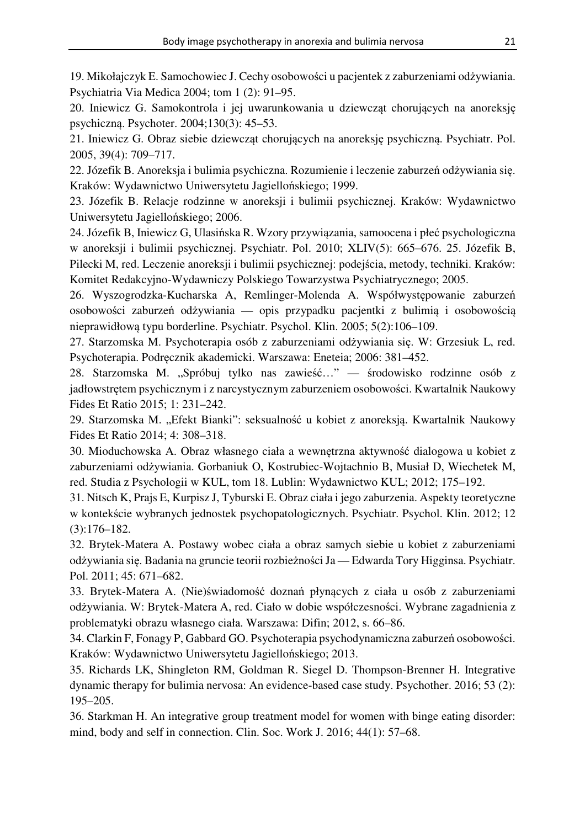19. Mikołajczyk E. Samochowiec J. Cechy osobowości u pacjentek z zaburzeniami odżywiania. Psychiatria Via Medica 2004; tom 1 (2): 91–95.

20. Iniewicz G. Samokontrola i jej uwarunkowania u dziewcząt chorujących na anoreksję psychiczną. Psychoter. 2004;130(3): 45–53.

21. Iniewicz G. Obraz siebie dziewcząt chorujących na anoreksję psychiczną. Psychiatr. Pol. 2005, 39(4): 709–717.

22. Józefik B. Anoreksja i bulimia psychiczna. Rozumienie i leczenie zaburzeń odżywiania się. Kraków: Wydawnictwo Uniwersytetu Jagiellońskiego; 1999.

23. Józefik B. Relacje rodzinne w anoreksji i bulimii psychicznej. Kraków: Wydawnictwo Uniwersytetu Jagiellońskiego; 2006.

24. Józefik B, Iniewicz G, Ulasińska R. Wzory przywiązania, samoocena i płeć psychologiczna w anoreksji i bulimii psychicznej. Psychiatr. Pol. 2010; XLIV(5): 665–676. 25. Józefik B, Pilecki M, red. Leczenie anoreksji i bulimii psychicznej: podejścia, metody, techniki. Kraków: Komitet Redakcyjno-Wydawniczy Polskiego Towarzystwa Psychiatrycznego; 2005.

26. Wyszogrodzka-Kucharska A, Remlinger-Molenda A. Współwystępowanie zaburzeń osobowości zaburzeń odżywiania — opis przypadku pacjentki z bulimią i osobowością nieprawidłową typu borderline. Psychiatr. Psychol. Klin. 2005; 5(2):106–109.

27. Starzomska M. Psychoterapia osób z zaburzeniami odżywiania się. W: Grzesiuk L, red. Psychoterapia. Podręcznik akademicki. Warszawa: Eneteia; 2006: 381–452.

28. Starzomska M. "Spróbuj tylko nas zawieść…" — środowisko rodzinne osób z jadłowstrętem psychicznym i z narcystycznym zaburzeniem osobowości. Kwartalnik Naukowy Fides Et Ratio 2015; 1: 231–242.

29. Starzomska M. "Efekt Bianki": seksualność u kobiet z anoreksją. Kwartalnik Naukowy Fides Et Ratio 2014; 4: 308–318.

30. Mioduchowska A. Obraz własnego ciała a wewnętrzna aktywność dialogowa u kobiet z zaburzeniami odżywiania. Gorbaniuk O, Kostrubiec-Wojtachnio B, Musiał D, Wiechetek M, red. Studia z Psychologii w KUL, tom 18. Lublin: Wydawnictwo KUL; 2012; 175–192.

31. Nitsch K, Prajs E, Kurpisz J, Tyburski E. Obraz ciała i jego zaburzenia. Aspekty teoretyczne w kontekście wybranych jednostek psychopatologicznych. Psychiatr. Psychol. Klin. 2012; 12 (3):176–182.

32. Brytek-Matera A. Postawy wobec ciała a obraz samych siebie u kobiet z zaburzeniami odżywiania się. Badania na gruncie teorii rozbieżności Ja — Edwarda Tory Higginsa. Psychiatr. Pol. 2011; 45: 671–682.

33. Brytek-Matera A. (Nie)świadomość doznań płynących z ciała u osób z zaburzeniami odżywiania. W: Brytek-Matera A, red. Ciało w dobie współczesności. Wybrane zagadnienia z problematyki obrazu własnego ciała. Warszawa: Difin; 2012, s. 66–86.

34. Clarkin F, Fonagy P, Gabbard GO. Psychoterapia psychodynamiczna zaburzeń osobowości. Kraków: Wydawnictwo Uniwersytetu Jagiellońskiego; 2013.

35. Richards LK, Shingleton RM, Goldman R. Siegel D. Thompson-Brenner H. Integrative dynamic therapy for bulimia nervosa: An evidence-based case study. Psychother. 2016; 53 (2): 195–205.

36. Starkman H. An integrative group treatment model for women with binge eating disorder: mind, body and self in connection. Clin. Soc. Work J. 2016; 44(1): 57–68.